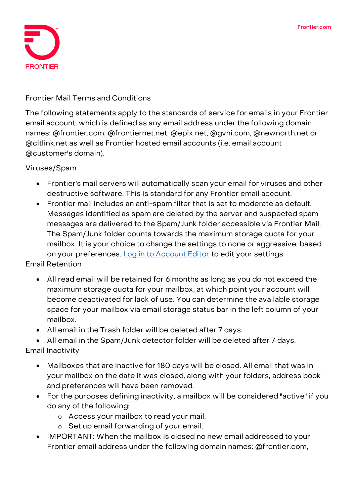

## **Frontier Mail Terms and Conditions**

The following statements apply to the standards of service for emails in your Frontier email account, which is defined as any email address under the following domain names: @frontier.com, @frontiernet.net, @epix.net, @gvni.com, @newnorth.net or @citlink.net as well as Frontier hosted email accounts (i.e. email account @customer's domain).

**Viruses/Spam**

- Frontier's mail servers will automatically scan your email for viruses and other destructive software. This is standard for any Frontier email account.
- Frontier mail includes an anti-spam filter that is set to moderate as default. Messages identified as spam are deleted by the server and suspected spam messages are delivered to the Spam/Junk folder accessible via Frontier Mail. The Spam/Junk folder counts towards the maximum storage quota for your mailbox. It is your choice to change the settings to none or aggressive, based on your preferences. [Log in to Account Editor](https://security.frontier.com/acctedit/) to edit your settings.

**Email Retention**

- All read email will be retained for 6 months as long as you do not exceed the maximum storage quota for your mailbox, at which point your account will become deactivated for lack of use. You can determine the available storage space for your mailbox via email storage status bar in the left column of your mailbox.
- All email in the Trash folder will be deleted after 7 days.

• All email in the Spam/Junk detector folder will be deleted after 7 days. **Email Inactivity**

- Mailboxes that are inactive for 180 days will be closed. All email that was in your mailbox on the date it was closed, along with your folders, address book and preferences will have been removed.
- For the purposes defining inactivity, a mailbox will be considered "active" if you do any of the following:
	- o Access your mailbox to read your mail.
	- o Set up email forwarding of your email.
- IMPORTANT: When the mailbox is closed no new email addressed to your Frontier email address under the following domain names: @frontier.com,